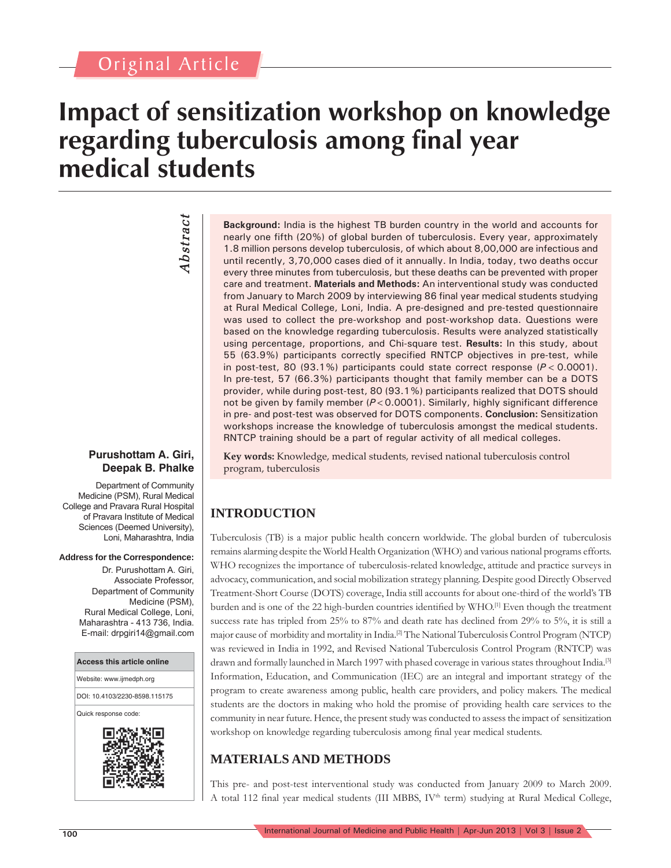## Original Article

## **Impact of sensitization workshop on knowledge regarding tuberculosis among final year medical students**

# *Abstract Abstract*

#### **Purushottam A. Giri, Deepak B. Phalke**

Department of Community Medicine (PSM), Rural Medical College and Pravara Rural Hospital of Pravara Institute of Medical Sciences (Deemed University), Loni, Maharashtra, India

#### **Address for the Correspondence:**

Dr. Purushottam A. Giri, Associate Professor, Department of Community Medicine (PSM), Rural Medical College, Loni, Maharashtra - 413 736, India. E-mail: drpgiri14@gmail.com

## **Access this article online** Website: www.ijmedph.org DOI: 10.4103/2230-8598.115175 Quick response code:

**Background:** India is the highest TB burden country in the world and accounts for nearly one fifth (20%) of global burden of tuberculosis. Every year, approximately 1.8 million persons develop tuberculosis, of which about 8,00,000 are infectious and until recently, 3,70,000 cases died of it annually. In India, today, two deaths occur every three minutes from tuberculosis, but these deaths can be prevented with proper care and treatment. **Materials and Methods:** An interventional study was conducted from January to March 2009 by interviewing 86 final year medical students studying at Rural Medical College, Loni, India. A pre-designed and pre-tested questionnaire was used to collect the pre-workshop and post-workshop data. Questions were based on the knowledge regarding tuberculosis. Results were analyzed statistically using percentage, proportions, and Chi-square test. **Results:** In this study, about 55 (63.9%) participants correctly specified RNTCP objectives in pre-test, while in post-test, 80 (93.1%) participants could state correct response  $(P < 0.0001)$ . In pre-test, 57 (66.3%) participants thought that family member can be a DOTS provider, while during post-test, 80 (93.1%) participants realized that DOTS should not be given by family member ( $P < 0.0001$ ). Similarly, highly significant difference in pre- and post-test was observed for DOTS components. **Conclusion:** Sensitization workshops increase the knowledge of tuberculosis amongst the medical students. RNTCP training should be a part of regular activity of all medical colleges.

**Key words:** Knowledge, medical students, revised national tuberculosis control program, tuberculosis

## **INTRODUCTION**

Tuberculosis (TB) is a major public health concern worldwide. The global burden of tuberculosis remains alarming despite the World Health Organization (WHO) and various national programs efforts. WHO recognizes the importance of tuberculosis-related knowledge, attitude and practice surveys in advocacy, communication, and social mobilization strategy planning. Despite good Directly Observed Treatment-Short Course (DOTS) coverage, India still accounts for about one-third of the world's TB burden and is one of the 22 high-burden countries identified by WHO.<sup>[1]</sup> Even though the treatment success rate has tripled from 25% to 87% and death rate has declined from 29% to 5%, it is still a major cause of morbidity and mortality in India.[2] The National Tuberculosis Control Program (NTCP) was reviewed in India in 1992, and Revised National Tuberculosis Control Program (RNTCP) was drawn and formally launched in March 1997 with phased coverage in various states throughout India.[3] Information, Education, and Communication (IEC) are an integral and important strategy of the program to create awareness among public, health care providers, and policy makers. The medical students are the doctors in making who hold the promise of providing health care services to the community in near future. Hence, the present study was conducted to assess the impact of sensitization workshop on knowledge regarding tuberculosis among final year medical students.

## **MATERIALS AND METHODS**

This pre- and post-test interventional study was conducted from January 2009 to March 2009. A total 112 final year medical students (III MBBS, IV<sup>th</sup> term) studying at Rural Medical College,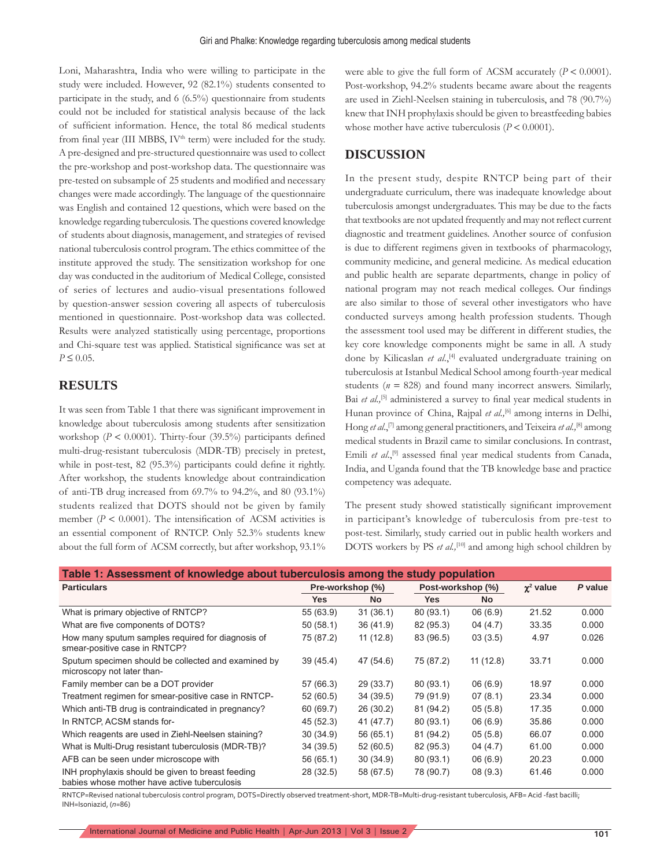Loni, Maharashtra, India who were willing to participate in the study were included. However, 92 (82.1%) students consented to participate in the study, and 6 (6.5%) questionnaire from students could not be included for statistical analysis because of the lack of sufficient information. Hence, the total 86 medical students from final year (III MBBS, IV<sup>th</sup> term) were included for the study. A pre-designed and pre-structured questionnaire was used to collect the pre-workshop and post-workshop data. The questionnaire was pre-tested on subsample of 25 students and modified and necessary changes were made accordingly. The language of the questionnaire was English and contained 12 questions, which were based on the knowledge regarding tuberculosis. The questions covered knowledge of students about diagnosis, management, and strategies of revised national tuberculosis control program. The ethics committee of the institute approved the study. The sensitization workshop for one day was conducted in the auditorium of Medical College, consisted of series of lectures and audio-visual presentations followed by question-answer session covering all aspects of tuberculosis mentioned in questionnaire. Post-workshop data was collected. Results were analyzed statistically using percentage, proportions and Chi-square test was applied. Statistical significance was set at  $P \le 0.05$ .

### **RESULTS**

It was seen from Table 1 that there was significant improvement in knowledge about tuberculosis among students after sensitization workshop ( $P < 0.0001$ ). Thirty-four (39.5%) participants defined multi-drug-resistant tuberculosis (MDR-TB) precisely in pretest, while in post-test,  $82$  (95.3%) participants could define it rightly. After workshop, the students knowledge about contraindication of anti-TB drug increased from 69.7% to 94.2%, and 80 (93.1%) students realized that DOTS should not be given by family member ( $P < 0.0001$ ). The intensification of ACSM activities is an essential component of RNTCP. Only 52.3% students knew about the full form of ACSM correctly, but after workshop, 93.1% were able to give the full form of ACSM accurately  $(P < 0.0001)$ . Post-workshop, 94.2% students became aware about the reagents are used in Ziehl-Neelsen staining in tuberculosis, and 78 (90.7%) knew that INH prophylaxis should be given to breastfeeding babies whose mother have active tuberculosis  $(P < 0.0001)$ .

#### **DISCUSSION**

In the present study, despite RNTCP being part of their undergraduate curriculum, there was inadequate knowledge about tuberculosis amongst undergraduates. This may be due to the facts that textbooks are not updated frequently and may not reflect current diagnostic and treatment guidelines. Another source of confusion is due to different regimens given in textbooks of pharmacology, community medicine, and general medicine. As medical education and public health are separate departments, change in policy of national program may not reach medical colleges. Our findings are also similar to those of several other investigators who have conducted surveys among health profession students. Though the assessment tool used may be different in different studies, the key core knowledge components might be same in all. A study done by Kilicaslan *et al*.,[4] evaluated undergraduate training on tuberculosis at Istanbul Medical School among fourth-year medical students  $(n = 828)$  and found many incorrect answers. Similarly, Bai *et al.*<sup>[5]</sup> administered a survey to final year medical students in Hunan province of China, Rajpal et al.,<sup>[6]</sup> among interns in Delhi, Hong *et al*.,[7] among general practitioners, and Teixeira *et al.,*[8] among medical students in Brazil came to similar conclusions. In contrast, Emili et al.,<sup>[9]</sup> assessed final year medical students from Canada, India, and Uganda found that the TB knowledge base and practice competency was adequate.

The present study showed statistically significant improvement in participant's knowledge of tuberculosis from pre-test to post-test. Similarly, study carried out in public health workers and DOTS workers by PS *et al.,*[10] and among high school children by

| Table 1: Assessment of knowledge about tuberculosis among the study population                    |                  |           |                   |           |                  |         |
|---------------------------------------------------------------------------------------------------|------------------|-----------|-------------------|-----------|------------------|---------|
| <b>Particulars</b>                                                                                | Pre-workshop (%) |           | Post-workshop (%) |           | $\gamma^2$ value | P value |
|                                                                                                   | <b>Yes</b>       | <b>No</b> | <b>Yes</b>        | <b>No</b> |                  |         |
| What is primary objective of RNTCP?                                                               | 55 (63.9)        | 31(36.1)  | 80 (93.1)         | 06(6.9)   | 21.52            | 0.000   |
| What are five components of DOTS?                                                                 | 50(58.1)         | 36 (41.9) | 82 (95.3)         | 04(4.7)   | 33.35            | 0.000   |
| How many sputum samples required for diagnosis of<br>smear-positive case in RNTCP?                | 75 (87.2)        | 11(12.8)  | 83 (96.5)         | 03(3.5)   | 4.97             | 0.026   |
| Sputum specimen should be collected and examined by<br>microscopy not later than-                 | 39 (45.4)        | 47 (54.6) | 75 (87.2)         | 11(12.8)  | 33.71            | 0.000   |
| Family member can be a DOT provider                                                               | 57 (66.3)        | 29 (33.7) | 80 (93.1)         | 06(6.9)   | 18.97            | 0.000   |
| Treatment regimen for smear-positive case in RNTCP-                                               | 52 (60.5)        | 34(39.5)  | 79 (91.9)         | 07(8.1)   | 23.34            | 0.000   |
| Which anti-TB drug is contraindicated in pregnancy?                                               | 60 (69.7)        | 26(30.2)  | 81 (94.2)         | 05(5.8)   | 17.35            | 0.000   |
| In RNTCP, ACSM stands for-                                                                        | 45 (52.3)        | 41 (47.7) | 80 (93.1)         | 06(6.9)   | 35.86            | 0.000   |
| Which reagents are used in Ziehl-Neelsen staining?                                                | 30 (34.9)        | 56 (65.1) | 81 (94.2)         | 05(5.8)   | 66.07            | 0.000   |
| What is Multi-Drug resistant tuberculosis (MDR-TB)?                                               | 34 (39.5)        | 52 (60.5) | 82 (95.3)         | 04(4.7)   | 61.00            | 0.000   |
| AFB can be seen under microscope with                                                             | 56 (65.1)        | 30(34.9)  | 80 (93.1)         | 06(6.9)   | 20.23            | 0.000   |
| INH prophylaxis should be given to breast feeding<br>babies whose mother have active tuberculosis | 28 (32.5)        | 58 (67.5) | 78 (90.7)         | 08(9.3)   | 61.46            | 0.000   |

RNTCP=Revised national tuberculosis control program, DOTS=Directly observed treatment-short, MDR-TB=Multi-drug-resistant tuberculosis, AFB= Acid -fast bacilli; INH=Isoniazid, (*n*=86)